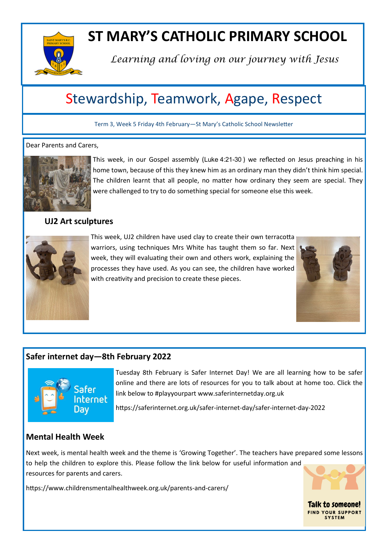

# **ST MARY'S CATHOLIC PRIMARY SCHOOL**

*Learning and loving on our journey with Jesus*

## Stewardship, Teamwork, Agape, Respect

Term 3, Week 5 Friday 4th February—St Mary's Catholic School Newsletter

#### Dear Parents and Carers,



This week, in our Gospel assembly (Luke 4:21-30 ) we reflected on Jesus preaching in his home town, because of this they knew him as an ordinary man they didn't think him special. The children learnt that all people, no matter how ordinary they seem are special. They were challenged to try to do something special for someone else this week.

#### **UJ2 Art sculptures**



This week, UJ2 children have used clay to create their own terracotta warriors, using techniques Mrs White has taught them so far. Next week, they will evaluating their own and others work, explaining the processes they have used. As you can see, the children have worked with creativity and precision to create these pieces.



**Talk to someone! FIND YOUR SUPPORT SYSTEM** 

### **Safer internet day—8th February 2022**



Tuesday 8th February is Safer Internet Day! We are all learning how to be safer online and there are lots of resources for you to talk about at home too. Click the link below to #playyourpart www.saferinternetday.org.uk

https://saferinternet.org.uk/safer-internet-day/safer-internet-day-2022

### **Mental Health Week**

Next week, is mental health week and the theme is 'Growing Together'. The teachers have prepared some lessons to help the children to explore this. Please follow the link below for useful information and resources for parents and carers.

https://www.childrensmentalhealthweek.org.uk/parents-and-carers/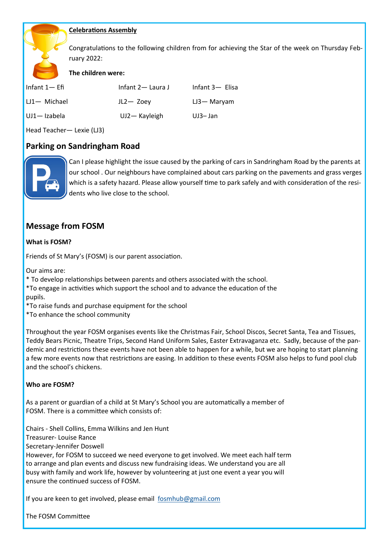#### **Celebrations Assembly**

Congratulations to the following children from for achieving the Star of the week on Thursday February 2022:

#### **The children were:**

| Infant $1-$ Efi | Infant 2 — Laura J | Infant 3- Elisa |
|-----------------|--------------------|-----------------|
| $LI$ Michael    | $JL2 - Zoey$       | $LJ3 -$ Maryam  |
| UJ1-Izabela     | $UJ2 -$ Kayleigh   | UJ3-Jan         |

Head Teacher— Lexie (LJ3)

#### **Parking on Sandringham Road**



Can I please highlight the issue caused by the parking of cars in Sandringham Road by the parents at our school . Our neighbours have complained about cars parking on the pavements and grass verges which is a safety hazard. Please allow yourself time to park safely and with consideration of the residents who live close to the school.

#### **Message from FOSM**

#### **What is FOSM?**

Friends of St Mary's (FOSM) is our parent association.

Our aims are:

\* To develop relationships between parents and others associated with the school.

\*To engage in activities which support the school and to advance the education of the pupils.

\*To raise funds and purchase equipment for the school

\*To enhance the school community

Throughout the year FOSM organises events like the Christmas Fair, School Discos, Secret Santa, Tea and Tissues, Teddy Bears Picnic, Theatre Trips, Second Hand Uniform Sales, Easter Extravaganza etc. Sadly, because of the pandemic and restrictions these events have not been able to happen for a while, but we are hoping to start planning a few more events now that restrictions are easing. In addition to these events FOSM also helps to fund pool club and the school's chickens.

#### **Who are FOSM?**

As a parent or guardian of a child at St Mary's School you are automatically a member of FOSM. There is a committee which consists of:

Chairs - Shell Collins, Emma Wilkins and Jen Hunt

Treasurer- Louise Rance

Secretary-Jennifer Doswell

However, for FOSM to succeed we need everyone to get involved. We meet each half term to arrange and plan events and discuss new fundraising ideas. We understand you are all busy with family and work life, however by volunteering at just one event a year you will ensure the continued success of FOSM.

If you are keen to get involved, please email [fosmhub@gmail.com](mailto:fosmhub@gmail.com)

The FOSM Committee